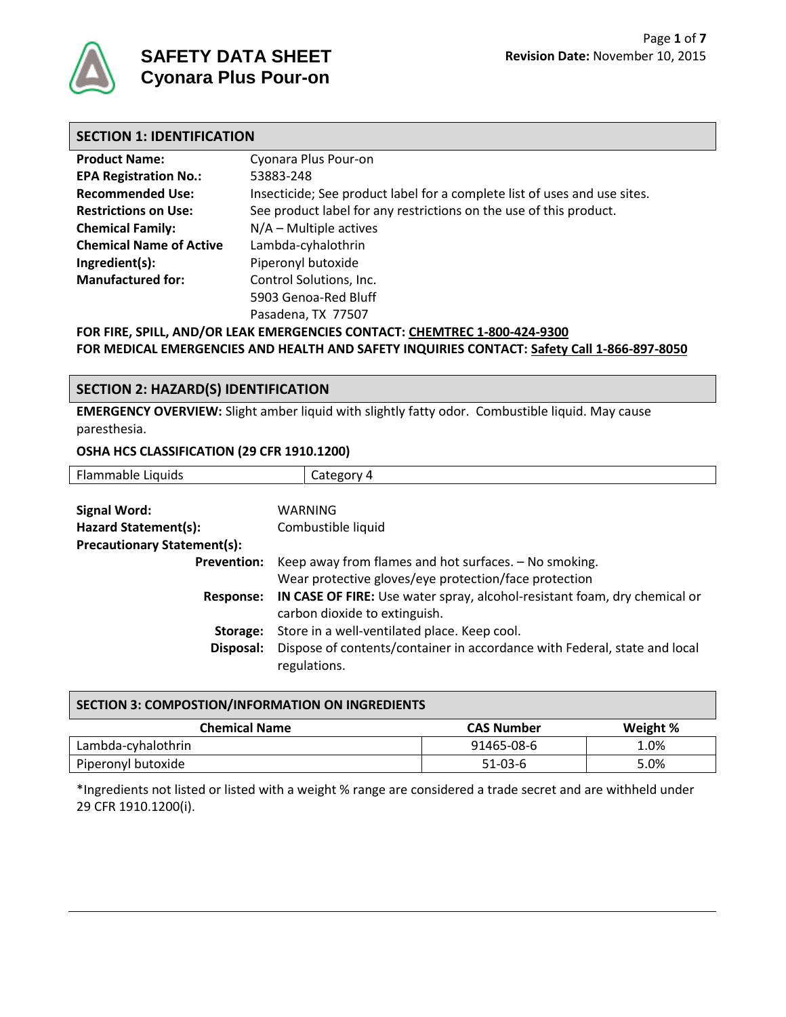

| <b>SECTION 1: IDENTIFICATION</b> |                                                                                                                        |  |  |  |
|----------------------------------|------------------------------------------------------------------------------------------------------------------------|--|--|--|
| <b>Product Name:</b>             | Cyonara Plus Pour-on                                                                                                   |  |  |  |
| <b>EPA Registration No.:</b>     | 53883-248                                                                                                              |  |  |  |
| <b>Recommended Use:</b>          | Insecticide; See product label for a complete list of uses and use sites.                                              |  |  |  |
| <b>Restrictions on Use:</b>      | See product label for any restrictions on the use of this product.                                                     |  |  |  |
| <b>Chemical Family:</b>          | $N/A$ – Multiple actives                                                                                               |  |  |  |
| <b>Chemical Name of Active</b>   | Lambda-cyhalothrin                                                                                                     |  |  |  |
| Ingredient(s):                   | Piperonyl butoxide                                                                                                     |  |  |  |
| <b>Manufactured for:</b>         | Control Solutions, Inc.                                                                                                |  |  |  |
|                                  | 5903 Genoa-Red Bluff                                                                                                   |  |  |  |
|                                  | Pasadena, TX 77507                                                                                                     |  |  |  |
|                                  | $\overline{1115}$ and $\overline{151}$ the strathents and the strathents and the annual strathents of $\overline{131}$ |  |  |  |

**FOR FIRE, SPILL, AND/OR LEAK EMERGENCIES CONTACT: CHEMTREC 1-800-424-9300 FOR MEDICAL EMERGENCIES AND HEALTH AND SAFETY INQUIRIES CONTACT: Safety Call 1-866-897-8050**

## **SECTION 2: HAZARD(S) IDENTIFICATION**

**EMERGENCY OVERVIEW:** Slight amber liquid with slightly fatty odor. Combustible liquid. May cause paresthesia.

#### **OSHA HCS CLASSIFICATION (29 CFR 1910.1200)**

| Flammable Liquids                  | Category 4                                                                |  |
|------------------------------------|---------------------------------------------------------------------------|--|
|                                    |                                                                           |  |
| <b>Signal Word:</b>                | WARNING                                                                   |  |
| Hazard Statement(s):               | Combustible liquid                                                        |  |
| <b>Precautionary Statement(s):</b> |                                                                           |  |
| <b>Prevention:</b>                 | Keep away from flames and hot surfaces. - No smoking.                     |  |
|                                    | Wear protective gloves/eye protection/face protection                     |  |
| <b>Response:</b>                   | IN CASE OF FIRE: Use water spray, alcohol-resistant foam, dry chemical or |  |
|                                    | carbon dioxide to extinguish.                                             |  |
| Storage:                           | Store in a well-ventilated place. Keep cool.                              |  |
| Disposal:                          | Dispose of contents/container in accordance with Federal, state and local |  |
|                                    | regulations.                                                              |  |

| SECTION 3: COMPOSTION/INFORMATION ON INGREDIENTS |                   |          |  |  |
|--------------------------------------------------|-------------------|----------|--|--|
| <b>Chemical Name</b>                             | <b>CAS Number</b> | Weight % |  |  |
| Lambda-cyhalothrin                               | 91465-08-6        | 1.0%     |  |  |
| Piperonyl butoxide                               | $51-03-6$         | 5.0%     |  |  |

\*Ingredients not listed or listed with a weight % range are considered a trade secret and are withheld under 29 CFR 1910.1200(i).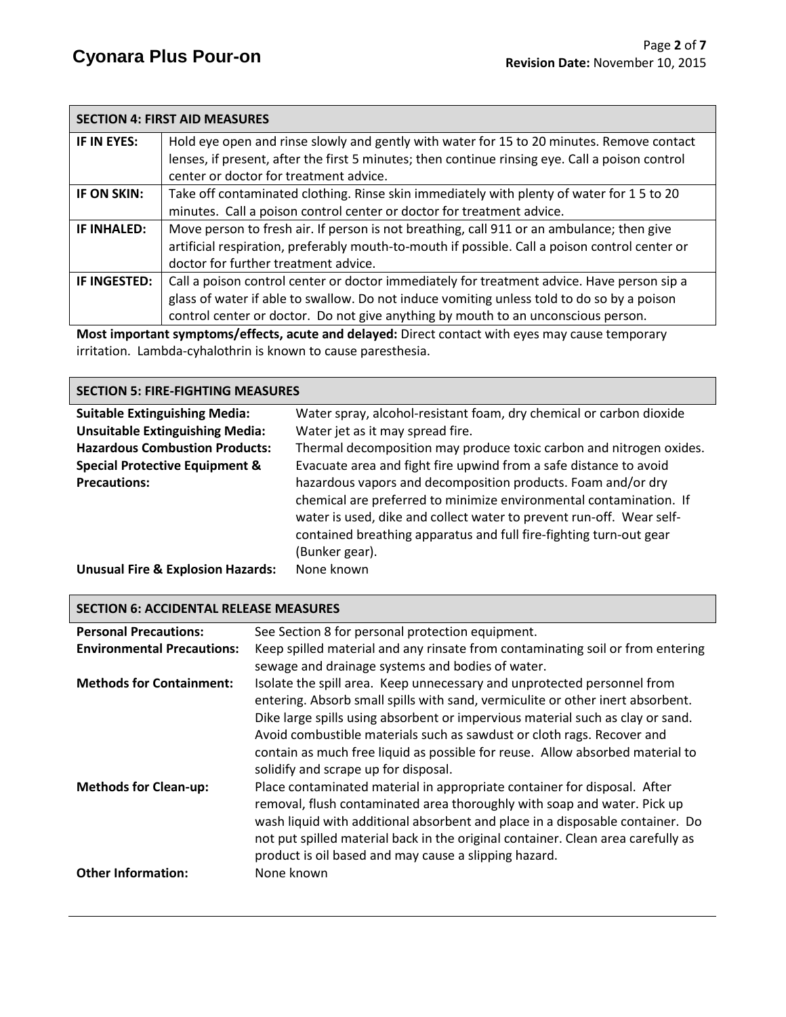|              | <b>SECTION 4: FIRST AID MEASURES</b>                                                             |
|--------------|--------------------------------------------------------------------------------------------------|
| IF IN EYES:  | Hold eye open and rinse slowly and gently with water for 15 to 20 minutes. Remove contact        |
|              | lenses, if present, after the first 5 minutes; then continue rinsing eye. Call a poison control  |
|              | center or doctor for treatment advice.                                                           |
| IF ON SKIN:  | Take off contaminated clothing. Rinse skin immediately with plenty of water for 15 to 20         |
|              | minutes. Call a poison control center or doctor for treatment advice.                            |
| IF INHALED:  | Move person to fresh air. If person is not breathing, call 911 or an ambulance; then give        |
|              | artificial respiration, preferably mouth-to-mouth if possible. Call a poison control center or   |
|              | doctor for further treatment advice.                                                             |
| IF INGESTED: | Call a poison control center or doctor immediately for treatment advice. Have person sip a       |
|              | glass of water if able to swallow. Do not induce vomiting unless told to do so by a poison       |
|              | control center or doctor. Do not give anything by mouth to an unconscious person.                |
|              | Most important symptoms/offects, acute and delayed: Direct contact with eves may cause temperary |

**Most important symptoms/effects, acute and delayed:** Direct contact with eyes may cause temporary irritation. Lambda-cyhalothrin is known to cause paresthesia.

## **SECTION 5: FIRE-FIGHTING MEASURES**

| <b>Suitable Extinguishing Media:</b>         | Water spray, alcohol-resistant foam, dry chemical or carbon dioxide  |  |  |
|----------------------------------------------|----------------------------------------------------------------------|--|--|
| <b>Unsuitable Extinguishing Media:</b>       | Water jet as it may spread fire.                                     |  |  |
| <b>Hazardous Combustion Products:</b>        | Thermal decomposition may produce toxic carbon and nitrogen oxides.  |  |  |
| <b>Special Protective Equipment &amp;</b>    | Evacuate area and fight fire upwind from a safe distance to avoid    |  |  |
| <b>Precautions:</b>                          | hazardous vapors and decomposition products. Foam and/or dry         |  |  |
|                                              | chemical are preferred to minimize environmental contamination. If   |  |  |
|                                              | water is used, dike and collect water to prevent run-off. Wear self- |  |  |
|                                              | contained breathing apparatus and full fire-fighting turn-out gear   |  |  |
|                                              | (Bunker gear).                                                       |  |  |
| <b>Unusual Fire &amp; Explosion Hazards:</b> | None known                                                           |  |  |

## **SECTION 6: ACCIDENTAL RELEASE MEASURES**

| <b>Personal Precautions:</b>      | See Section 8 for personal protection equipment.                                                                                                                                                                                                                                                                                                                                                                                               |
|-----------------------------------|------------------------------------------------------------------------------------------------------------------------------------------------------------------------------------------------------------------------------------------------------------------------------------------------------------------------------------------------------------------------------------------------------------------------------------------------|
| <b>Environmental Precautions:</b> | Keep spilled material and any rinsate from contaminating soil or from entering<br>sewage and drainage systems and bodies of water.                                                                                                                                                                                                                                                                                                             |
| <b>Methods for Containment:</b>   | Isolate the spill area. Keep unnecessary and unprotected personnel from<br>entering. Absorb small spills with sand, vermiculite or other inert absorbent.<br>Dike large spills using absorbent or impervious material such as clay or sand.<br>Avoid combustible materials such as sawdust or cloth rags. Recover and<br>contain as much free liquid as possible for reuse. Allow absorbed material to<br>solidify and scrape up for disposal. |
| <b>Methods for Clean-up:</b>      | Place contaminated material in appropriate container for disposal. After<br>removal, flush contaminated area thoroughly with soap and water. Pick up<br>wash liquid with additional absorbent and place in a disposable container. Do<br>not put spilled material back in the original container. Clean area carefully as<br>product is oil based and may cause a slipping hazard.                                                             |
| <b>Other Information:</b>         | None known                                                                                                                                                                                                                                                                                                                                                                                                                                     |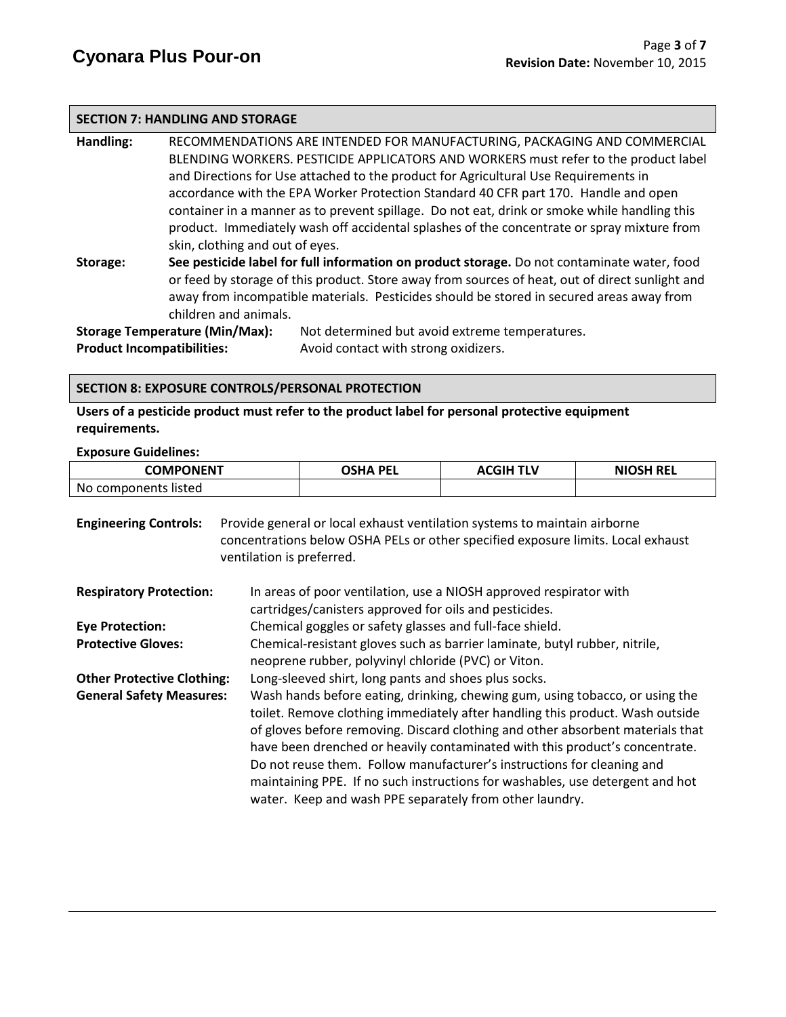#### **SECTION 7: HANDLING AND STORAGE**

**Handling:** RECOMMENDATIONS ARE INTENDED FOR MANUFACTURING, PACKAGING AND COMMERCIAL BLENDING WORKERS. PESTICIDE APPLICATORS AND WORKERS must refer to the product label and Directions for Use attached to the product for Agricultural Use Requirements in accordance with the EPA Worker Protection Standard 40 CFR part 170.Handle and open container in a manner as to prevent spillage. Do not eat, drink or smoke while handling this product. Immediately wash off accidental splashes of the concentrate or spray mixture from skin, clothing and out of eyes. **Storage: See pesticide label for full information on product storage.** Do not contaminate water, food or feed by storage of this product. Store away from sources of heat, out of direct sunlight and away from incompatible materials. Pesticides should be stored in secured areas away from children and animals.

**Storage Temperature (Min/Max):** Not determined but avoid extreme temperatures. **Product Incompatibilities:** Avoid contact with strong oxidizers.

#### **SECTION 8: EXPOSURE CONTROLS/PERSONAL PROTECTION**

**Users of a pesticide product must refer to the product label for personal protective equipment requirements.**

#### **Exposure Guidelines:**

| <b>COMPONENT</b>     | OSHA PEL | <b>ACGIH TLV</b> | <b>NIOSH REL</b> |
|----------------------|----------|------------------|------------------|
| No components listed |          |                  |                  |

| <b>Engineering Controls:</b>      | Provide general or local exhaust ventilation systems to maintain airborne<br>concentrations below OSHA PELs or other specified exposure limits. Local exhaust<br>ventilation is preferred.                                                                                                                                                                                                                                                                                                                                                           |  |  |
|-----------------------------------|------------------------------------------------------------------------------------------------------------------------------------------------------------------------------------------------------------------------------------------------------------------------------------------------------------------------------------------------------------------------------------------------------------------------------------------------------------------------------------------------------------------------------------------------------|--|--|
| <b>Respiratory Protection:</b>    | In areas of poor ventilation, use a NIOSH approved respirator with<br>cartridges/canisters approved for oils and pesticides.                                                                                                                                                                                                                                                                                                                                                                                                                         |  |  |
| <b>Eye Protection:</b>            | Chemical goggles or safety glasses and full-face shield.                                                                                                                                                                                                                                                                                                                                                                                                                                                                                             |  |  |
| <b>Protective Gloves:</b>         | Chemical-resistant gloves such as barrier laminate, butyl rubber, nitrile,<br>neoprene rubber, polyvinyl chloride (PVC) or Viton.                                                                                                                                                                                                                                                                                                                                                                                                                    |  |  |
| <b>Other Protective Clothing:</b> | Long-sleeved shirt, long pants and shoes plus socks.                                                                                                                                                                                                                                                                                                                                                                                                                                                                                                 |  |  |
| <b>General Safety Measures:</b>   | Wash hands before eating, drinking, chewing gum, using tobacco, or using the<br>toilet. Remove clothing immediately after handling this product. Wash outside<br>of gloves before removing. Discard clothing and other absorbent materials that<br>have been drenched or heavily contaminated with this product's concentrate.<br>Do not reuse them. Follow manufacturer's instructions for cleaning and<br>maintaining PPE. If no such instructions for washables, use detergent and hot<br>water. Keep and wash PPE separately from other laundry. |  |  |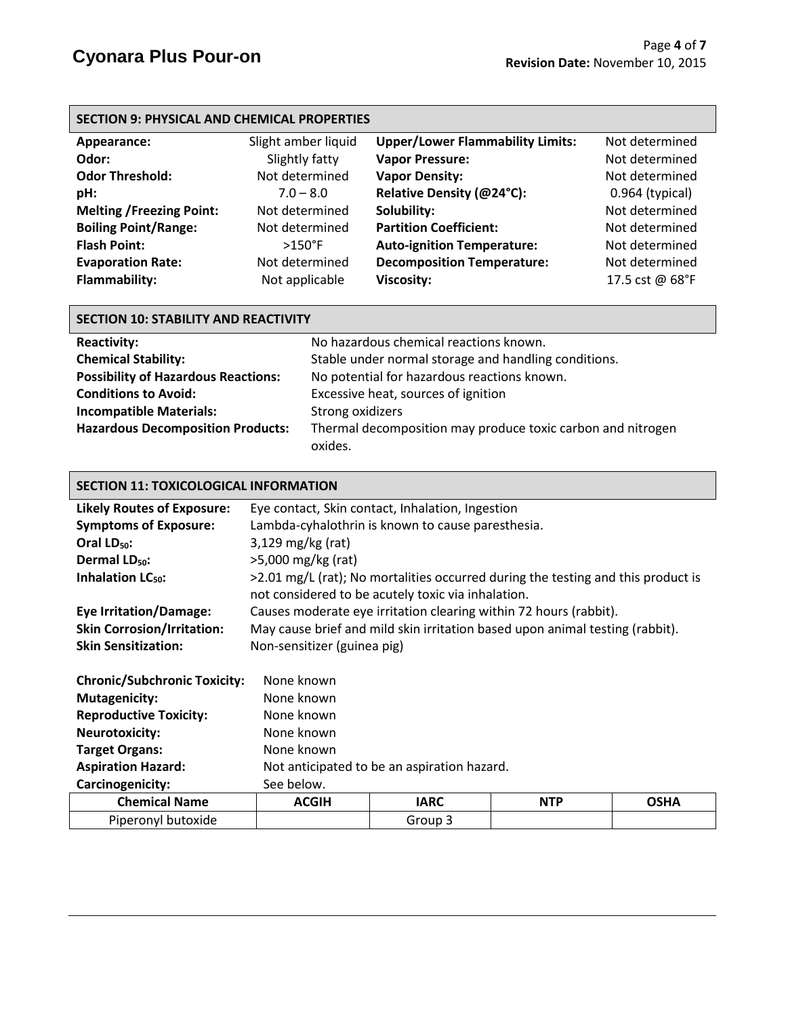## **SECTION 9: PHYSICAL AND CHEMICAL PROPERTIES**

| Appearance:                     | Slight amber liquid | <b>Upper/Lower Flammability Limits:</b> | Not determined    |
|---------------------------------|---------------------|-----------------------------------------|-------------------|
| Odor:                           | Slightly fatty      | <b>Vapor Pressure:</b>                  | Not determined    |
| <b>Odor Threshold:</b>          | Not determined      | <b>Vapor Density:</b>                   | Not determined    |
| pH:                             | $7.0 - 8.0$         | Relative Density (@24°C):               | $0.964$ (typical) |
| <b>Melting /Freezing Point:</b> | Not determined      | Solubility:                             | Not determined    |
| <b>Boiling Point/Range:</b>     | Not determined      | <b>Partition Coefficient:</b>           | Not determined    |
| <b>Flash Point:</b>             | $>150^{\circ}$ F    | <b>Auto-ignition Temperature:</b>       | Not determined    |
| <b>Evaporation Rate:</b>        | Not determined      | <b>Decomposition Temperature:</b>       | Not determined    |
| <b>Flammability:</b>            | Not applicable      | <b>Viscosity:</b>                       | 17.5 cst @ 68°F   |

| <b>SECTION 10: STABILITY AND REACTIVITY</b> |                                                             |  |  |  |  |
|---------------------------------------------|-------------------------------------------------------------|--|--|--|--|
| <b>Reactivity:</b>                          | No hazardous chemical reactions known.                      |  |  |  |  |
| <b>Chemical Stability:</b>                  | Stable under normal storage and handling conditions.        |  |  |  |  |
| <b>Possibility of Hazardous Reactions:</b>  | No potential for hazardous reactions known.                 |  |  |  |  |
| <b>Conditions to Avoid:</b>                 | Excessive heat, sources of ignition                         |  |  |  |  |
| <b>Incompatible Materials:</b>              | Strong oxidizers                                            |  |  |  |  |
| <b>Hazardous Decomposition Products:</b>    | Thermal decomposition may produce toxic carbon and nitrogen |  |  |  |  |
|                                             | oxides.                                                     |  |  |  |  |

#### **SECTION 11: TOXICOLOGICAL INFORMATION**

| <b>Likely Routes of Exposure:</b>   | Eye contact, Skin contact, Inhalation, Ingestion                                                                                         |  |  |  |
|-------------------------------------|------------------------------------------------------------------------------------------------------------------------------------------|--|--|--|
| <b>Symptoms of Exposure:</b>        | Lambda-cyhalothrin is known to cause paresthesia.                                                                                        |  |  |  |
| Oral $LD_{50}$ :                    | $3,129$ mg/kg (rat)                                                                                                                      |  |  |  |
| Dermal LD <sub>50</sub> :           | $>5,000$ mg/kg (rat)                                                                                                                     |  |  |  |
| Inhalation LC <sub>50</sub> :       | $>2.01$ mg/L (rat); No mortalities occurred during the testing and this product is<br>not considered to be acutely toxic via inhalation. |  |  |  |
| <b>Eye Irritation/Damage:</b>       | Causes moderate eye irritation clearing within 72 hours (rabbit).                                                                        |  |  |  |
| <b>Skin Corrosion/Irritation:</b>   | May cause brief and mild skin irritation based upon animal testing (rabbit).                                                             |  |  |  |
| <b>Skin Sensitization:</b>          | Non-sensitizer (guinea pig)                                                                                                              |  |  |  |
| <b>Chronic/Subchronic Toxicity:</b> | None known                                                                                                                               |  |  |  |
| <b>Mutagenicity:</b>                | None known                                                                                                                               |  |  |  |
| <b>Reproductive Toxicity:</b>       | None known                                                                                                                               |  |  |  |
| <b>Neurotoxicity:</b>               | None known                                                                                                                               |  |  |  |
| <b>Target Organs:</b>               | None known                                                                                                                               |  |  |  |

# **Aspiration Hazard:** Not anticipated to be an aspiration hazard.<br> **Carcinogenicity:** See below

| Carcinogenicity:     | See below.   |         |            |             |
|----------------------|--------------|---------|------------|-------------|
| <b>Chemical Name</b> | <b>ACGIH</b> | IARC    | <b>NTP</b> | <b>OSHA</b> |
| Piperonyl butoxide   |              | Group 3 |            |             |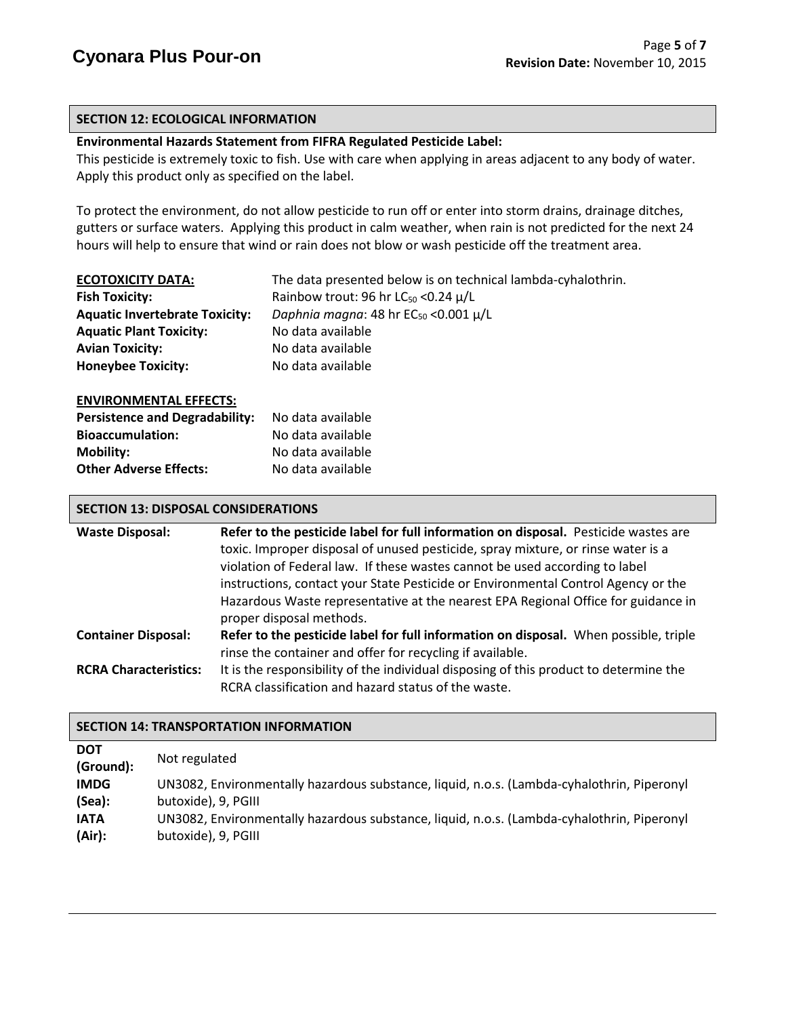## **SECTION 12: ECOLOGICAL INFORMATION**

## **Environmental Hazards Statement from FIFRA Regulated Pesticide Label:**

This pesticide is extremely toxic to fish. Use with care when applying in areas adjacent to any body of water. Apply this product only as specified on the label.

To protect the environment, do not allow pesticide to run off or enter into storm drains, drainage ditches, gutters or surface waters. Applying this product in calm weather, when rain is not predicted for the next 24 hours will help to ensure that wind or rain does not blow or wash pesticide off the treatment area.

| <b>ECOTOXICITY DATA:</b>              | The data presented below is on technical lambda-cyhalothrin. |
|---------------------------------------|--------------------------------------------------------------|
| <b>Fish Toxicity:</b>                 | Rainbow trout: 96 hr $LC_{50}$ < 0.24 $\mu/L$                |
| <b>Aquatic Invertebrate Toxicity:</b> | Daphnia magna: 48 hr $EC_{50}$ <0.001 $\mu/L$                |
| <b>Aquatic Plant Toxicity:</b>        | No data available                                            |
| <b>Avian Toxicity:</b>                | No data available                                            |
| <b>Honeybee Toxicity:</b>             | No data available                                            |
|                                       |                                                              |

#### **ENVIRONMENTAL EFFECTS:**

| No data available |
|-------------------|
| No data available |
| No data available |
| No data available |
|                   |

#### **SECTION 13: DISPOSAL CONSIDERATIONS**

| <b>Waste Disposal:</b>       | Refer to the pesticide label for full information on disposal. Pesticide wastes are                                                          |
|------------------------------|----------------------------------------------------------------------------------------------------------------------------------------------|
|                              | toxic. Improper disposal of unused pesticide, spray mixture, or rinse water is a                                                             |
|                              | violation of Federal law. If these wastes cannot be used according to label                                                                  |
|                              | instructions, contact your State Pesticide or Environmental Control Agency or the                                                            |
|                              | Hazardous Waste representative at the nearest EPA Regional Office for guidance in                                                            |
|                              | proper disposal methods.                                                                                                                     |
| <b>Container Disposal:</b>   | Refer to the pesticide label for full information on disposal. When possible, triple                                                         |
|                              | rinse the container and offer for recycling if available.                                                                                    |
| <b>RCRA Characteristics:</b> | It is the responsibility of the individual disposing of this product to determine the<br>RCRA classification and hazard status of the waste. |

#### **SECTION 14: TRANSPORTATION INFORMATION**

| <b>DOT</b><br>(Ground): | Not regulated                                                                              |
|-------------------------|--------------------------------------------------------------------------------------------|
| <b>IMDG</b>             | UN3082, Environmentally hazardous substance, liquid, n.o.s. (Lambda-cyhalothrin, Piperonyl |
| (Sea):                  | butoxide), 9, PGIII                                                                        |
| <b>IATA</b>             | UN3082, Environmentally hazardous substance, liquid, n.o.s. (Lambda-cyhalothrin, Piperonyl |
| (Air):                  | butoxide), 9, PGIII                                                                        |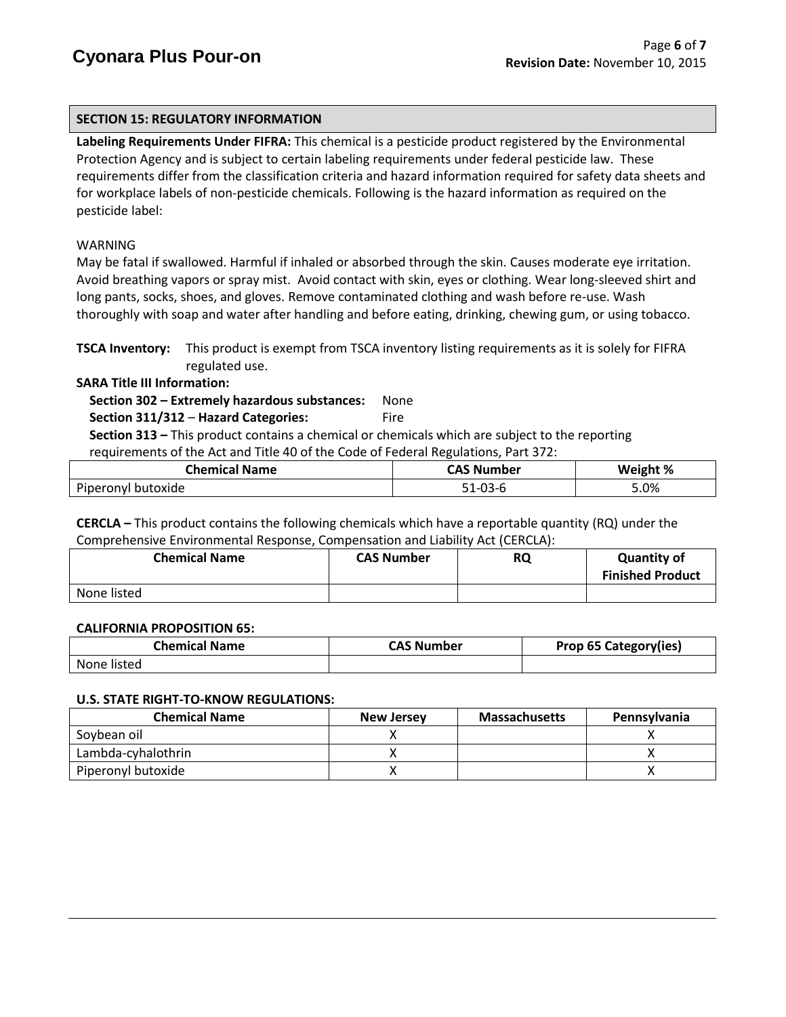## **SECTION 15: REGULATORY INFORMATION**

**Labeling Requirements Under FIFRA:** This chemical is a pesticide product registered by the Environmental Protection Agency and is subject to certain labeling requirements under federal pesticide law. These requirements differ from the classification criteria and hazard information required for safety data sheets and for workplace labels of non-pesticide chemicals. Following is the hazard information as required on the pesticide label:

## WARNING

May be fatal if swallowed. Harmful if inhaled or absorbed through the skin. Causes moderate eye irritation. Avoid breathing vapors or spray mist. Avoid contact with skin, eyes or clothing. Wear long-sleeved shirt and long pants, socks, shoes, and gloves. Remove contaminated clothing and wash before re-use. Wash thoroughly with soap and water after handling and before eating, drinking, chewing gum, or using tobacco.

**TSCA Inventory:** This product is exempt from TSCA inventory listing requirements as it is solely for FIFRA regulated use.

**SARA Title III Information:**

 **Section 302 – Extremely hazardous substances:** None

**Section 311/312 – Hazard Categories:** Fire

 **Section 313 –** This product contains a chemical or chemicals which are subject to the reporting requirements of the Act and Title 40 of the Code of Federal Regulations, Part 372:

| Chemical Name      | <b>CAS Number</b> | Weight % |
|--------------------|-------------------|----------|
| Piperonyl butoxide | ົດລ<br>-U3-0      | 5.0%     |

**CERCLA –** This product contains the following chemicals which have a reportable quantity (RQ) under the Comprehensive Environmental Response, Compensation and Liability Act (CERCLA):

| <b>Chemical Name</b> | <b>CAS Number</b> | <b>RQ</b> | <b>Quantity of</b><br><b>Finished Product</b> |
|----------------------|-------------------|-----------|-----------------------------------------------|
| None listed          |                   |           |                                               |

#### **CALIFORNIA PROPOSITION 65:**

| <b>Chemical Name</b> | <b>CAS Number</b> | Prop 65 Category(ies) |
|----------------------|-------------------|-----------------------|
| None listed          |                   |                       |

#### **U.S. STATE RIGHT-TO-KNOW REGULATIONS:**

| <b>Chemical Name</b> | <b>New Jersey</b> | <b>Massachusetts</b> | <b>Pennsylvania</b> |
|----------------------|-------------------|----------------------|---------------------|
| Sovbean oil          |                   |                      |                     |
| Lambda-cyhalothrin   |                   |                      |                     |
| Piperonyl butoxide   |                   |                      |                     |